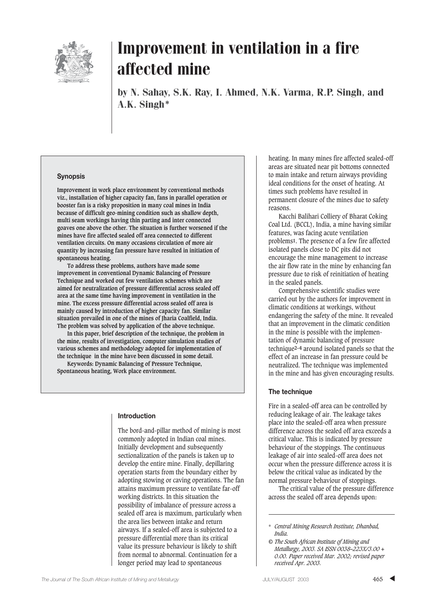

by N. Sahay, S.K. Ray, I. Ahmed, N.K. Varma, R.P. Singh, and A.K. Singh\*

#### **Synopsis**

**Improvement in work place environment by conventional methods viz., installation of higher capacity fan, fans in parallel operation or booster fan is a risky proposition in many coal mines in India because of difficult geo-mining condition such as shallow depth, multi seam workings having thin parting and inter connected goaves one above the other. The situation is further worsened if the mines have fire affected sealed off area connected to different ventilation circuits. On many occasions circulation of more air quantity by increasing fan pressure have resulted in initiation of spontaneous heating.** 

**To address these problems, authors have made some improvement in conventional Dynamic Balancing of Pressure Technique and worked out few ventilation schemes which are aimed for neutralization of pressure differential across sealed off area at the same time having improvement in ventilation in the mine. The excess pressure differential across sealed off area is mainly caused by introduction of higher capacity fan. Similar situation prevailed in one of the mines of Jharia Coalfield, India. The problem was solved by application of the above technique.**

**In this paper, brief description of the technique, the problem in the mine, results of investigation, computer simulation studies of various schemes and methodology adopted for implementation of the technique in the mine have been discussed in some detail.**

**Keywords: Dynamic Balancing of Pressure Technique, Spontaneous heating, Work place environment.**

#### **Introduction**

The bord-and-pillar method of mining is most commonly adopted in Indian coal mines. Initially development and subsequently sectionalization of the panels is taken up to develop the entire mine. Finally, depillaring operation starts from the boundary either by adopting stowing or caving operations. The fan attains maximum pressure to ventilate far-off working districts. In this situation the possibility of imbalance of pressure across a sealed off area is maximum, particularly when the area lies between intake and return airways. If a sealed-off area is subjected to a pressure differential more than its critical value its pressure behaviour is likely to shift from normal to abnormal. Continuation for a longer period may lead to spontaneous

heating. In many mines fire affected sealed-off areas are situated near pit bottoms connected to main intake and return airways providing ideal conditions for the onset of heating. At times such problems have resulted in permanent closure of the mines due to safety reasons.

Kacchi Balihari Colliery of Bharat Coking Coal Ltd. (BCCL), India, a mine having similar features, was facing acute ventilation problems**1**. The presence of a few fire affected isolated panels close to DC pits did not encourage the mine management to increase the air flow rate in the mine by enhancing fan pressure due to risk of reinitiation of heating in the sealed panels.

Comprehensive scientific studies were carried out by the authors for improvement in climatic conditions at workings, without endangering the safety of the mine. It revealed that an improvement in the climatic condition in the mine is possible with the implementation of dynamic balancing of pressure technique**2–4** around isolated panels so that the effect of an increase in fan pressure could be neutralized. The technique was implemented in the mine and has given encouraging results.

#### **The technique**

Fire in a sealed-off area can be controlled by reducing leakage of air. The leakage takes place into the sealed-off area when pressure difference across the sealed off area exceeds a critical value. This is indicated by pressure behaviour of the stoppings. The continuous leakage of air into sealed-off area does not occur when the pressure difference across it is below the critical value as indicated by the normal pressure behaviour of stoppings.

The critical value of the pressure difference across the sealed off area depends upon:

<sup>\*</sup> *Central Mining Research Institute, Dhanbad, India.*

*<sup>©</sup> The South African Institute of Mining and Metallurgy, 2003. SA ISSN 0038–223X/3.00 + 0.00. Paper received Mar. 2002; revised paper received Apr. 2003.*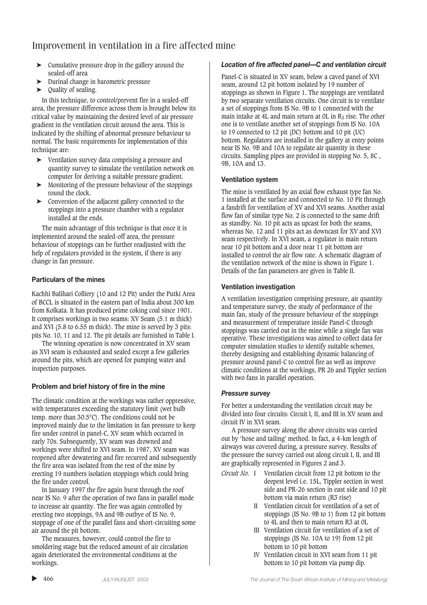- ➤ Cumulative pressure drop in the gallery around the sealed-off area
- ➤ Durinal change in barometric pressure
- ➤ Quality of sealing.

In this technique, to control/prevent fire in a sealed-off area, the pressure difference across them is brought below its critical value by maintaining the desired level of air pressure gradient in the ventilation circuit around the area. This is indicated by the shifting of abnormal pressure behaviour to normal. The basic requirements for implementation of this technique are:

- ➤ Ventilation survey data comprising a pressure and quantity survey to simulate the ventilation network on computer for deriving a suitable pressure gradient.
- ➤ Monitoring of the pressure behaviour of the stoppings round the clock.
- ➤ Conversion of the adjacent gallery connected to the stoppings into a pressure chamber with a regulator installed at the ends.

The main advantage of this technique is that once it is implemented around the sealed-off area, the pressure behaviour of stoppings can be further readjusted with the help of regulators provided in the system, if there is any change in fan pressure.

### **Particulars of the mines**

Kachhi Balihari Colliery (10 and 12 Pit) under the Putki Area of BCCL is situated in the eastern part of India about 300 km from Kolkata. It has produced prime coking coal since 1901. It comprises workings in two seams: XV Seam (5.1 m thick) and XVI (5.8 to 6.55 m thick). The mine is served by 3 pits: pits No. 10, 11 and 12. The pit details are furnished in Table I.

The winning operation is now concentrated in XV seam as XVI seam is exhausted and sealed except a few galleries around the pits, which are opened for pumping water and inspection purposes.

### **Problem and brief history of fire in the mine**

The climatic condition at the workings was rather oppressive, with temperatures exceeding the statutory limit (wet bulb temp. more than 30.5°C). The conditions could not be improved mainly due to the limitation in fan pressure to keep fire under control in panel-C, XV seam which occurred in early 70s. Subsequently, XV seam was drowned and workings were shifted to XVI seam. In 1987, XV seam was reopened after dewatering and fire recurred and subsequently the fire area was isolated from the rest of the mine by erecting 19 numbers isolation stoppings which could bring the fire under control.

In January 1997 the fire again burst through the roof near IS No. 9 after the operation of two fans in parallel mode to increase air quantity. The fire was again controlled by erecting two stoppings, 9A and 9B outbye of IS No. 9, stoppage of one of the parallel fans and short-circuiting some air around the pit bottom.

The measures, however, could control the fire to smoldering stage but the reduced amount of air circulation again deteriorated the environmental conditions at the workings.

### *Location of fire affected panel—C and ventilation circuit*

Panel-C is situated in XV seam, below a caved panel of XVI seam, around 12 pit bottom isolated by 19 number of stoppings as shown in Figure 1. The stoppings are ventilated by two separate ventilation circuits. One circuit is to ventilate a set of stoppings from IS No. 9B to 1 connected with the main intake at 4L and main return at 0L in  $R_3$  rise. The other one is to ventilate another set of stoppings from IS No. 10A to 19 connected to 12 pit (DC) bottom and 10 pit (UC) bottom. Regulators are installed in the gallery at entry points near IS No. 9B and 10A to regulate air quantity in these circuits. Sampling pipes are provided in stopping No. 5, 8C , 9B, 10A and 13.

### **Ventilation system**

The mine is ventilated by an axial flow exhaust type fan No. 1 installed at the surface and connected to No. 10 Pit through a fandrift for ventilation of XV and XVI seams. Another axial flow fan of similar type No. 2 is connected to the same drift as standby. No. 10 pit acts as upcast for both the seams, whereas No. 12 and 11 pits act as downcast for XV and XVI seam respectively. In XVI seam, a regulator in main return near 10 pit bottom and a door near 11 pit bottom are installed to control the air flow rate. A schematic diagram of the ventilation network of the mine is shown in Figure 1. Details of the fan parameters are given in Table II.

### **Ventilation investigation**

A ventilation investigation comprising pressure, air quantity and temperature survey, the study of performance of the main fan, study of the pressure behaviour of the stoppings and measurement of temperature inside Panel-C through stoppings was carried out in the mine while a single fan was operative. These investigations was aimed to collect data for computer simulation studies to identify suitable schemes, thereby designing and establishing dynamic balancing of pressure around panel-C to control fire as well as improve climatic conditions at the workings, PR 26 and Tippler section with two fans in parallel operation.

### *Pressure survey*

For better a understanding the ventilation circuit may be divided into four circuits: Circuit I, II, and III in XV seam and circuit IV in XVI seam.

A pressure survey along the above circuits was carried out by 'hose and tailing' method. In fact, a 4-km length of airways was covered during, a pressure survey. Results of the pressure the survey carried out along circuit I, II, and III are graphically represented in Figures 2 and 3.

- *Circuit No.* I Ventilation circuit from 12 pit bottom to the deepest level i.e. 15L, Tippler section in west side and PR-26 section in east side and 10 pit bottom via main return (R3 rise)
	- II Ventilation circuit for ventilation of a set of stoppings (IS No. 9B to 1) from 12 pit bottom to 4L and then to main return R3 at 0L
	- III Ventilation circuit for ventilation of a set of stoppings (IS No. 10A to 19) from 12 pit bottom to 10 pit bottom
	- IV Ventilation circuit in XVI seam from 11 pit bottom to 10 pit bottom via pump dip.

▲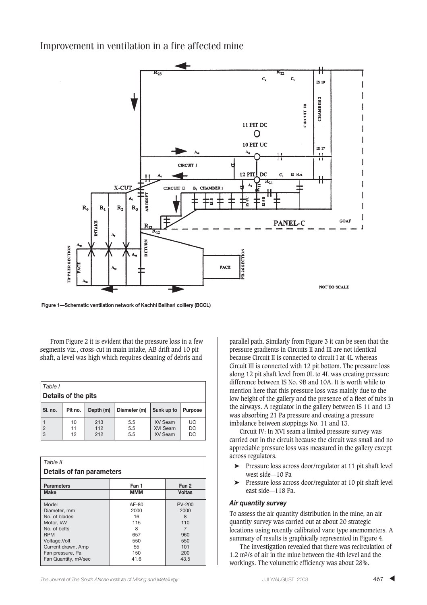

**Figure 1—Schematic ventilation network of Kachhi Balihari colliery (BCCL)**

From Figure 2 it is evident that the pressure loss in a few segments viz., cross-cut in main intake, AB drift and 10 pit shaft, a level was high which requires cleaning of debris and

| Table I             |                |                   |                   |                                       |                              |  |
|---------------------|----------------|-------------------|-------------------|---------------------------------------|------------------------------|--|
| Details of the pits |                |                   |                   |                                       |                              |  |
| SI, no.             | Pit no.        | Depth (m)         | Diameter (m)      | Sunk up to                            | <b>Purpose</b>               |  |
| $\overline{c}$<br>3 | 10<br>11<br>12 | 213<br>112<br>212 | 5.5<br>5.5<br>5.5 | <b>XV Seam</b><br>XVI Seam<br>XV Seam | UC<br><b>DC</b><br><b>DC</b> |  |

| Table II<br>Details of fan parameters |            |               |  |  |
|---------------------------------------|------------|---------------|--|--|
| <b>Parameters</b>                     | Fan 1      | Fan 2         |  |  |
| <b>Make</b>                           | <b>MMM</b> | <b>Voltas</b> |  |  |
| Model                                 | AF-80      | <b>PV-200</b> |  |  |
| Diameter, mm                          | 2000       | 2000          |  |  |
| No. of blades                         | 16         | 8             |  |  |
| Motor, kW                             | 115        | 110           |  |  |
| No. of helts                          | 8          | 7             |  |  |
| <b>RPM</b>                            | 657        | 960           |  |  |
| Voltage, Volt                         | 550        | 550           |  |  |
| Current drawn, Amp                    | 55         | 101           |  |  |
| Fan pressure, Pa                      | 150        | 200           |  |  |
| Fan Quantity, m <sup>3</sup> /sec     | 41.6       | 43.5          |  |  |

parallel path. Similarly from Figure 3 it can be seen that the pressure gradients in Circuits II and III are not identical because Circuit II is connected to circuit I at 4L whereas Circuit III is connected with 12 pit bottom. The pressure loss along 12 pit shaft level from 0L to 4L was creating pressure difference between IS No. 9B and 10A. It is worth while to mention here that this pressure loss was mainly due to the low height of the gallery and the presence of a fleet of tubs in the airways. A regulator in the gallery between IS 11 and 13 was absorbing 21 Pa pressure and creating a pressure imbalance between stoppings No. 11 and 13.

Circuit IV: In XVI seam a limited pressure survey was carried out in the circuit because the circuit was small and no appreciable pressure loss was measured in the gallery except across regulators.

- ➤ Pressure loss across door/regulator at 11 pit shaft level west side—10 Pa
- ➤ Pressure loss across door/regulator at 10 pit shaft level east side—118 Pa.

#### *Air quantity survey*

To assess the air quantity distribution in the mine, an air quantity survey was carried out at about 20 strategic locations using recently calibrated vane type anemometers. A summary of results is graphically represented in Figure 4.

The investigation revealed that there was recirculation of 1.2 m3/s of air in the mine between the 4th level and the workings. The volumetric efficiency was about 28%.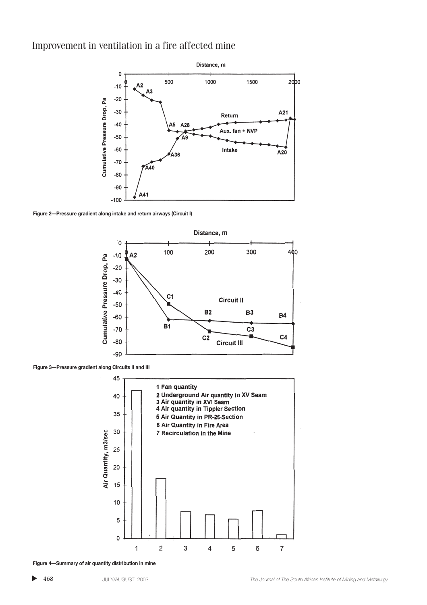

**Figure 2—Pressure gradient along intake and return airways (Circuit I)**



**Figure 3—Pressure gradient along Circuits II and III**



**Figure 4—Summary of air quantity distribution in mine**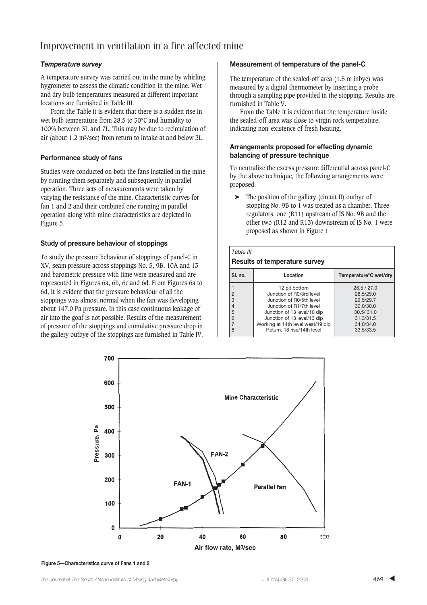### *Temperature survey*

A temperature survey was carried out in the mine by whirling hygrometer to assess the climatic condition in the mine. Wet and dry bulb temperatures measured at different important locations are furnished in Table III.

From the Table it is evident that there is a sudden rise in wet bulb temperature from 28.5 to 30°C and humidity to 100% between 3L and 7L. This may be due to recirculation of air (about 1.2 m3/sec) from return to intake at and below 3L.

### **Performance study of fans**

Studies were conducted on both the fans installed in the mine by running them separately and subsequently in parallel operation. Three sets of measurements were taken by varying the resistance of the mine. Characteristic curves for fan 1 and 2 and their combined one running in parallel operation along with mine characteristics are depicted in Figure 5.

### **Study of pressure behaviour of stoppings**

To study the pressure behaviour of stoppings of panel-C in XV, seam pressure across stoppings No. 5, 9B, 10A and 13 and barometric pressure with time were measured and are represented in Figures 6a, 6b, 6c and 6d. From Figures 6a to 6d, it is evident that the pressure behaviour of all the stoppings was almost normal when the fan was developing about 147.0 Pa pressure. In this case continuous leakage of air into the goaf is not possible. Results of the measurement of pressure of the stoppings and cumulative pressure drop in the gallery outbye of the stoppings are furnished in Table IV.

### **Measurement of temperature of the panel-C**

The temperature of the sealed-off area (1.5 m inbye) was measured by a digital thermometer by inserting a probe through a sampling pipe provided in the stopping. Results are furnished in Table V.

From the Table it is evident that the temperature inside the sealed-off area was close to virgin rock temperature, indicating non-existence of fresh heating.

#### **Arrangements proposed for effecting dynamic balancing of pressure technique**

To neutralize the excess pressure differential across panel-C by the above technique, the following arrangements were proposed.

➤ The position of the gallery (circuit II) outbye of stopping No. 9B to 1 was treated as a chamber. Three regulators, one (R11) upstream of IS No. 9B and the other two (R12 and R13) downstream of IS No. 1 were proposed as shown in Figure 1

| Table III<br><b>Results of temperature survey</b> |                                   |                                    |  |  |  |
|---------------------------------------------------|-----------------------------------|------------------------------------|--|--|--|
| SI. no.                                           | Location                          | Temperature <sup>o</sup> C wet/dry |  |  |  |
| 1                                                 | 12 pit bottom                     | 26.5 / 27.0                        |  |  |  |
| $\overline{2}$                                    | Junction of R0/3rd level          | 28.5/29.0                          |  |  |  |
| 3                                                 | Junction of R0/5th level          | 29.5/29.7                          |  |  |  |
| $\overline{4}$                                    | Junction of R1/7th level          | 30.0/30.0                          |  |  |  |
| 5                                                 | Junction of 13 level/10 dip       | 30.5/31.0                          |  |  |  |
| 6                                                 | Junction of 13 level/13 dip       | 31.3/31.5                          |  |  |  |
| $\overline{7}$                                    | Working at 14th level west/19 dip | 34.0/34.0                          |  |  |  |
| 8                                                 | Return. 18 rise/14th level        | 33.5/33.5                          |  |  |  |



**Figure 5—Characteristics curve of Fans 1 and 2**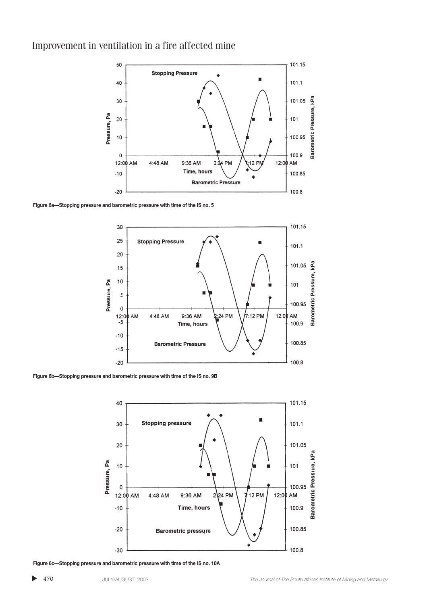

**Figure 6a—Stopping pressure and barometric pressure with time of the IS no. 5**



**Figure 6b—Stopping pressure and barometric pressure with time of the IS no. 9B**



**Figure 6c—Stopping pressure and barometric pressure with time of the IS no. 10A**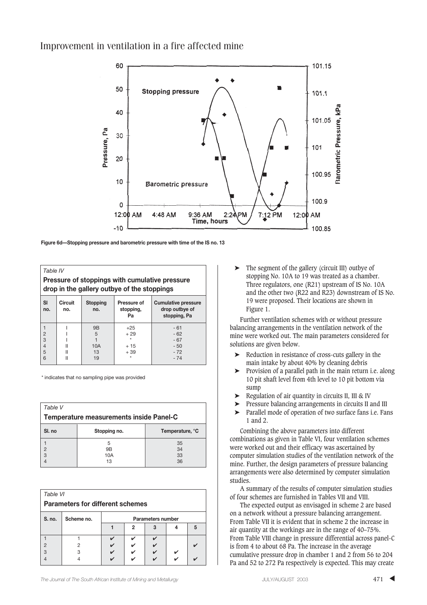

**Figure 6d—Stopping pressure and barometric pressure with time of the IS no. 13**

| Table IV                                                                                      |                                                                                                                                                          |     |       |       |  |  |  |
|-----------------------------------------------------------------------------------------------|----------------------------------------------------------------------------------------------------------------------------------------------------------|-----|-------|-------|--|--|--|
| Pressure of stoppings with cumulative pressure<br>drop in the gallery outbye of the stoppings |                                                                                                                                                          |     |       |       |  |  |  |
| SI<br>no.                                                                                     | <b>Circuit</b><br><b>Stopping</b><br><b>Cumulative pressure</b><br><b>Pressure of</b><br>drop outbye of<br>stopping,<br>no.<br>no.<br>stopping, Pa<br>Pa |     |       |       |  |  |  |
|                                                                                               |                                                                                                                                                          | 9B  | $+25$ | $-61$ |  |  |  |
| $\overline{2}$                                                                                |                                                                                                                                                          | 5   | $+29$ | $-62$ |  |  |  |
| $\overline{3}$                                                                                |                                                                                                                                                          |     | ÷     | $-67$ |  |  |  |
| $\overline{4}$                                                                                |                                                                                                                                                          | 10A | $+15$ | $-50$ |  |  |  |
| 5                                                                                             |                                                                                                                                                          | 13  | $+39$ | $-72$ |  |  |  |
| 6                                                                                             |                                                                                                                                                          | 19  | ÷     | $-74$ |  |  |  |

\* indicates that no sampling pipe was provided

| Table V                                 |              |                 |  |  |  |
|-----------------------------------------|--------------|-----------------|--|--|--|
| Temperature measurements inside Panel-C |              |                 |  |  |  |
| SI. no                                  | Stopping no. | Temperature, °C |  |  |  |
|                                         | 5            | 35              |  |  |  |
| $\overline{2}$                          | 9B           | 34              |  |  |  |
| 3                                       | 10A          | 33              |  |  |  |
|                                         | 13           | 36              |  |  |  |

| Table VI<br><b>Parameters for different schemes</b> |            |                          |   |  |  |   |
|-----------------------------------------------------|------------|--------------------------|---|--|--|---|
| S. no.                                              | Scheme no. | <b>Parameters number</b> |   |  |  |   |
|                                                     |            |                          | 2 |  |  | 5 |
|                                                     |            |                          |   |  |  |   |
|                                                     |            |                          |   |  |  |   |
| 3                                                   | 3          | V                        | V |  |  |   |
|                                                     |            |                          |   |  |  |   |

The segment of the gallery (circuit III) outbye of stopping No. 10A to 19 was treated as a chamber. Three regulators, one (R21) upstream of IS No. 10A and the other two (R22 and R23) downstream of IS No. 19 were proposed. Their locations are shown in Figure 1.

Further ventilation schemes with or without pressure balancing arrangements in the ventilation network of the mine were worked out. The main parameters considered for solutions are given below.

- ➤ Reduction in resistance of cross-cuts gallery in the main intake by about 40% by cleaning debris
- ➤ Provision of a parallel path in the main return i.e. along 10 pit shaft level from 4th level to 10 pit bottom via sump
- ➤ Regulation of air quantity in circuits II, III & IV
- Pressure balancing arrangements in circuits II and III
- ➤ Parallel mode of operation of two surface fans i.e. Fans 1 and 2.

Combining the above parameters into different combinations as given in Table VI, four ventilation schemes were worked out and their efficacy was ascertained by computer simulation studies of the ventilation network of the mine. Further, the design parameters of pressure balancing arrangements were also determined by computer simulation studies.

A summary of the results of computer simulation studies of four schemes are furnished in Tables VII and VIII.

The expected output as envisaged in scheme 2 are based on a network without a pressure balancing arrangement. From Table VII it is evident that in scheme 2 the increase in air quantity at the workings are in the range of 40–75%. From Table VIII change in pressure differential across panel-C is from 4 to about 68 Pa. The increase in the average cumulative pressure drop in chamber 1 and 2 from 56 to 204 Pa and 52 to 272 Pa respectively is expected. This may create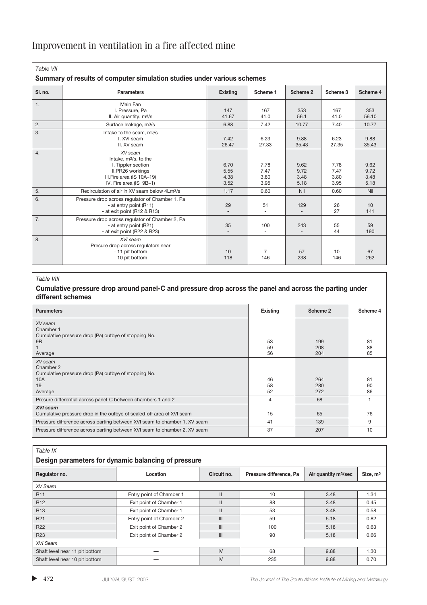| Table VII<br>Summary of results of computer simulation studies under various schemes |                                                                                                                                                 |                              |                              |                              |                              |                              |
|--------------------------------------------------------------------------------------|-------------------------------------------------------------------------------------------------------------------------------------------------|------------------------------|------------------------------|------------------------------|------------------------------|------------------------------|
| SI. no.                                                                              | <b>Parameters</b>                                                                                                                               | <b>Existing</b>              | Scheme 1                     | Scheme 2                     | Scheme 3                     | Scheme 4                     |
| 1.                                                                                   | Main Fan<br>I. Pressure, Pa<br>II. Air quantity, m <sup>3</sup> /s                                                                              | 147<br>41.67                 | 167<br>41.0                  | 353<br>56.1                  | 167<br>41.0                  | 353<br>56.10                 |
| 2.                                                                                   | Surface leakage, m <sup>3</sup> /s                                                                                                              | 6.88                         | 7.42                         | 10.77                        | 7.40                         | 10.77                        |
| 3.                                                                                   | Intake to the seam, m <sup>3</sup> /s<br>I. XVI seam<br>II. XV seam                                                                             | 7.42<br>26.47                | 6.23<br>27.33                | 9.88<br>35.43                | 6.23<br>27.35                | 9.88<br>35.43                |
| 4.                                                                                   | XV seam<br>Intake, m <sup>3</sup> /s, to the<br>I. Tippler section<br>II.PR26 workings<br>III. Fire area (IS 10A-19)<br>IV. Fire area (IS 9B-1) | 6.70<br>5.55<br>4.38<br>3.52 | 7.78<br>7.47<br>3.80<br>3.95 | 9.62<br>9.72<br>3.48<br>5.18 | 7.78<br>7.47<br>3.80<br>3.95 | 9.62<br>9.72<br>3.48<br>5.18 |
| 5.                                                                                   | Recirculation of air in XV seam below 4Lm <sup>3</sup> /s                                                                                       | 1.17                         | 0.60                         | Nil                          | 0.60                         | Nil                          |
| 6.                                                                                   | Pressure drop across regulator of Chamber 1, Pa<br>- at entry point (R11)<br>- at exit point (R12 & R13)                                        | 29                           | 51<br>÷.                     | 129<br>$\sim$                | 26<br>27                     | 10<br>141                    |
| 7.                                                                                   | Pressure drop across regulator of Chamber 2, Pa<br>- at entry point (R21)<br>- at exit point (R22 & R23)                                        | 35                           | 100<br>$\overline{a}$        | 243                          | 55<br>44                     | 59<br>190                    |
| 8.                                                                                   | XVI seam<br>Presure drop across regulators near<br>- 11 pit bottom<br>- 10 pit bottom                                                           | 10<br>118                    | 7<br>146                     | 57<br>238                    | 10<br>146                    | 67<br>262                    |

#### *Table VIII*

### **Cumulative pressure drop around panel-C and pressure drop across the panel and across the parting under different schemes**

| <b>Parameters</b>                                                         | Existing | Scheme 2 | Scheme 4 |
|---------------------------------------------------------------------------|----------|----------|----------|
| XV seam                                                                   |          |          |          |
| Chamber 1                                                                 |          |          |          |
| Cumulative pressure drop (Pa) outbye of stopping No.                      |          |          |          |
| <b>9B</b>                                                                 | 53       | 199      | 81       |
|                                                                           | 59       | 208      | 88       |
| Average                                                                   | 56       | 204      | 85       |
| XV seam                                                                   |          |          |          |
| Chamber 2                                                                 |          |          |          |
| Cumulative pressure drop (Pa) outbye of stopping No.                      |          |          |          |
| 10A                                                                       | 46       | 264      | 81       |
| 19                                                                        | 58       | 280      | 90       |
| Average                                                                   | 52       | 272      | 86       |
| Presure differential across panel-C between chambers 1 and 2              | 4        | 68       |          |
| XVI seam                                                                  |          |          |          |
| Cumulative pressure drop in the outbye of sealed-off area of XVI seam     | 15       | 65       | 76       |
| Pressure difference across parting between XVI seam to chamber 1, XV seam | 41       | 139      | 9        |
| Pressure difference across parting between XVI seam to chamber 2, XV seam | 37       | 207      | 10       |

#### *Table IX*

### **Design parameters for dynamic balancing of pressure**

| Regulator no.                  | Location                 | Circuit no.   | Pressure difference, Pa | Air quantity m <sup>3</sup> /sec | Size, m <sup>2</sup> |  |
|--------------------------------|--------------------------|---------------|-------------------------|----------------------------------|----------------------|--|
| XV Seam                        |                          |               |                         |                                  |                      |  |
| R <sub>11</sub>                | Entry point of Chamber 1 |               | 10                      | 3.48                             | 1.34                 |  |
| R <sub>12</sub>                | Exit point of Chamber 1  | $\mathbf{II}$ | 88                      | 3.48                             | 0.45                 |  |
| R <sub>13</sub>                | Exit point of Chamber 1  | $\mathbf{II}$ | 53                      | 3.48                             | 0.58                 |  |
| R <sub>21</sub>                | Entry point of Chamber 2 | III           | 59                      | 5.18                             | 0.82                 |  |
| R <sub>22</sub>                | Exit point of Chamber 2  | III           | 100                     | 5.18                             | 0.63                 |  |
| R <sub>23</sub>                | Exit point of Chamber 2  | III           | 90                      | 5.18                             | 0.66                 |  |
| XVI Seam                       |                          |               |                         |                                  |                      |  |
| Shaft level near 11 pit bottom |                          | IV            | 68                      | 9.88                             | 1.30                 |  |
| Shaft level near 10 pit bottom |                          | IV            | 235                     | 9.88                             | 0.70                 |  |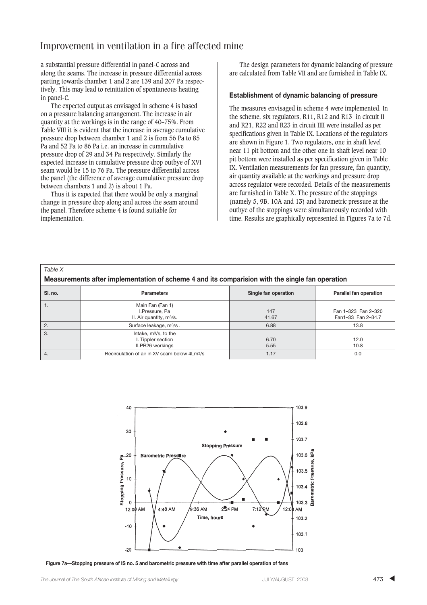a substantial pressure differential in panel-C across and along the seams. The increase in pressure differential across parting towards chamber 1 and 2 are 139 and 207 Pa respectively. This may lead to reinitiation of spontaneous heating in panel-C.

The expected output as envisaged in scheme 4 is based on a pressure balancing arrangement. The increase in air quantity at the workings is in the range of 40–75%. From Table VIII it is evident that the increase in average cumulative pressure drop between chamber 1 and 2 is from 56 Pa to 85 Pa and 52 Pa to 86 Pa i.e. an increase in cummulative pressure drop of 29 and 34 Pa respectively. Similarly the expected increase in cumulative pressure drop outbye of XVI seam would be 15 to 76 Pa. The pressure differential across the panel (the difference of average cumulative pressure drop between chambers 1 and 2) is about 1 Pa.

Thus it is expected that there would be only a marginal change in pressure drop along and across the seam around the panel. Therefore scheme 4 is found suitable for implementation.

The design parameters for dynamic balancing of pressure are calculated from Table VII and are furnished in Table IX.

#### **Establishment of dynamic balancing of pressure**

The measures envisaged in scheme 4 were implemented. In the scheme, six regulators, R11, R12 and R13 in circuit II and R21, R22 and R23 in circuit IIII were installed as per specifications given in Table IX. Locations of the regulators are shown in Figure 1. Two regulators, one in shaft level near 11 pit bottom and the other one in shaft level near 10 pit bottom were installed as per specification given in Table IX. Ventilation measurements for fan pressure, fan quantity, air quantity available at the workings and pressure drop across regulator were recorded. Details of the measurements are furnished in Table X. The pressure of the stoppings (namely 5, 9B, 10A and 13) and barometric pressure at the outbye of the stoppings were simultaneously recorded with time. Results are graphically represented in Figures 7a to 7d.

| $1$ GNIC $N$<br>Measurements after implementation of scheme 4 and its comparision with the single fan operation |                                                                             |                      |                                           |  |  |
|-----------------------------------------------------------------------------------------------------------------|-----------------------------------------------------------------------------|----------------------|-------------------------------------------|--|--|
| SI. no.                                                                                                         | <b>Parameters</b>                                                           | Single fan operation | Parallel fan operation                    |  |  |
| 1.                                                                                                              | Main Fan (Fan 1)<br>I.Pressure, Pa<br>II. Air quantity, m <sup>3</sup> /s.  | 147<br>41.67         | Fan 1-323 Fan 2-320<br>Fan1-33 Fan 2-34.7 |  |  |
| 2.                                                                                                              | Surface leakage, m <sup>3</sup> /s.                                         | 6.88                 | 13.8                                      |  |  |
| 3.                                                                                                              | Intake, m <sup>3</sup> /s, to the<br>I. Tippler section<br>II.PR26 workings | 6.70<br>5.55         | 12.0<br>10.8                              |  |  |
| 4.                                                                                                              | Recirculation of air in XV seam below 4Lm <sup>3</sup> /s                   | 1.17                 | 0.0                                       |  |  |



**Figure 7a—Stopping pressure of IS no. 5 and barometric pressure with time after parallel operation of fans**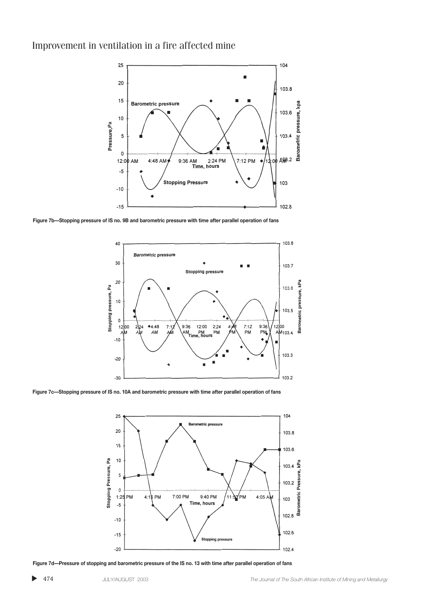

**Figure 7b—Stopping pressure of IS no. 9B and barometric pressure with time after parallel operation of fans**



**Figure 7c—Stopping pressure of IS no. 10A and barometric pressure with time after parallel operation of fans**



**Figure 7d—Pressure of stopping and barometric pressure of the IS no. 13 with time after parallel operation of fans**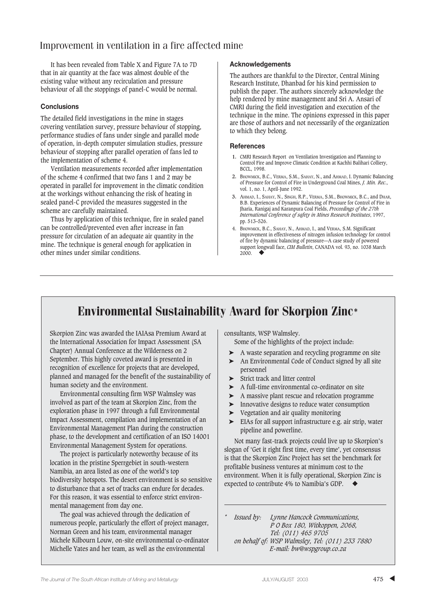It has been revealed from Table X and Figure 7A to 7D that in air quantity at the face was almost double of the existing value without any recirculation and pressure behaviour of all the stoppings of panel-C would be normal.

### **Conclusions**

The detailed field investigations in the mine in stages covering ventilation survey, pressure behaviour of stopping, performance studies of fans under single and parallel mode of operation, in-depth computer simulation studies, pressure behaviour of stopping after parallel operation of fans led to the implementation of scheme 4.

Ventilation measurements recorded after implementation of the scheme 4 confirmed that two fans 1 and 2 may be operated in parallel for improvement in the climatic condition at the workings without enhancing the risk of heating in sealed panel-C provided the measures suggested in the scheme are carefully maintained.

Thus by application of this technique, fire in sealed panel can be controlled/prevented even after increase in fan pressure for circulation of an adequate air quantity in the mine. The technique is general enough for application in other mines under similar conditions.

### **Acknowledgements**

The authors are thankful to the Director, Central Mining Research Institute, Dhanbad for his kind permission to publish the paper. The authors sincerely acknowledge the help rendered by mine management and Sri A. Ansari of CMRI during the field investigation and execution of the technique in the mine. The opinions expressed in this paper are those of authors and not necessarily of the organization to which they belong.

#### **References**

- **1.** CMRI Research Report on Ventilation Investigation and Planning to Control Fire and Improve Climatic Condition at Kachhi Balihari Colliery, BCCL, 1998.
- **2.** BHOWMICK, B.C., VERMA, S.M., SAHAY, N., and AHMAD, I. Dynamic Balancing of Pressure for Control of Fire in Underground Coal Mines, *J. Min. Rec*., vol. 1, no. 1, April-June 1992.
- **3.** AHMAD, I., SAHAY, N., SINGH, R.P., VERMA, S.M., BHOWMICK, B.C., and DHAR, B.B. Experiences of Dynamic Balancing of Pressure for Control of Fire in Jharia, Ranigaj and Karanpura Coal Fields, *Proceedings of the 27th International Conference of safety in Mines Research Institutes*, 1997, pp. 513–526.
- 4. BHOWMICK, B.C., SAHAY, N., AHMAD, I., and VERMA, S.M. Significant improvement in effectiveness of nitrogen infusion technology for control of fire by dynamic balancing of pressure—A case study of powered support longwall face, *CIM Bulletin*, CANADA vol. 93, no. 1038 March 2000. ◆

# Environmental Sustainability Award for Skorpion Zinc\*

Skorpion Zinc was awarded the IAIAsa Premium Award at the International Association for Impact Assessment (SA Chapter) Annual Conference at the Wilderness on 2 September. This highly coveted award is presented in recognition of excellence for projects that are developed, planned and managed for the benefit of the sustainability of human society and the environment.

Environmental consulting firm WSP Walmsley was involved as part of the team at Skorpion Zinc, from the exploration phase in 1997 through a full Environmental Impact Assessment, compilation and implementation of an Environmental Management Plan during the construction phase, to the development and certification of an ISO 14001 Environmental Management System for operations.

The project is particularly noteworthy because of its location in the pristine Sperrgebiet in south-western Namibia, an area listed as one of the world's top biodiversity hotspots. The desert environment is so sensitive to disturbance that a set of tracks can endure for decades. For this reason, it was essential to enforce strict environmental management from day one.

The goal was achieved through the dedication of numerous people, particularly the effort of project manager, Norman Green and his team, environmental manager Michele Kilbourn Louw, on-site environmental co-ordinator Michelle Yates and her team, as well as the environmental

consultants, WSP Walmsley.

Some of the highlights of the project include:

- ➤ A waste separation and recycling programme on site
- An Environmental Code of Conduct signed by all site personnel
- $\blacktriangleright$  Strict track and litter control
- ➤ A full-time environmental co-ordinator on site
- ➤ A massive plant rescue and relocation programme
- ➤ Innovative designs to reduce water consumption
- ➤ Vegetation and air quality monitoring
- ➤ EIAs for all support infrastructure e.g. air strip, water pipeline and powerline.

Not many fast-track projects could live up to Skorpion's slogan of 'Get it right first time, every time', yet consensus is that the Skorpion Zinc Project has set the benchmark for profitable business ventures at minimum cost to the environment. When it is fully operational, Skorpion Zinc is expected to contribute 4% to Namibia's GDP.

*\* Issued by: Lynne Hancock Communications, P O Box 180, Witkoppen, 2068, Tel: (011) 465 9705 on behalf of: WSP Walmsley, Tel: (011) 233 7880 E-mail: bw@wspgroup.co.za*